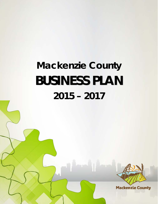# **Mackenzie County BUSINESS PLAN 2015 – 2017**



**Mackenzie County**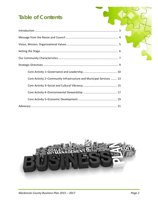# **Table of Contents**

| Core Activity 2–Community Infrastructure and Municipal Services  13 |  |
|---------------------------------------------------------------------|--|
|                                                                     |  |
|                                                                     |  |
|                                                                     |  |
|                                                                     |  |

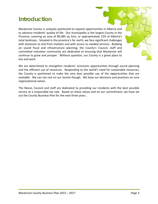## **Introduction**

Mackenzie County is uniquely positioned to expand opportunities in Alberta and to advance residents' quality of life. Our municipality is the largest County in the Province, covering an area of 80,485 sq. kms, or approximately 12% of Alberta's total landmass. Situated in the province's far north, we face significant challenges with distances to and from markets and with access to needed services. Building on sound fiscal and infrastructure planning, the County's Council, staff and committed volunteer community are dedicated to ensuring that Mackenzie will continue to grow and prosper. Without question, our County is a great place to live and work.

We are determined to strengthen residents' economic opportunities through sound planning and the efficient use of resources. Responding to the world's need for sustainable resources, the County is positioned to make the very best possible use of the opportunities that are available. We can not rest on our laurels though. We base our decisions and practices on core organizational values.

The Reeve, Council and staff are dedicated to providing our residents with the best possible service at a responsible tax rate. Based on these values and on our commitment, we have set out the County Business Plan for the next three years.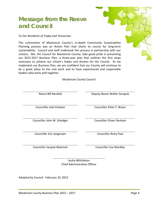# **Message from the Reeve and Council**

*To Our Residents of Today and Tomorrow:*

The culmination of Mackenzie County's in‐depth Community Sustainability Planning process was an Action Plan that charts its course for long‐term sustainability. Council and staff undertook this process in partnership with our citizens. We, the Council for Mackenzie County, take great pride in presenting our 2015‐2017 Business Plan; a three‐year plan that outlines the first steps necessary to achieve our citizen's hopes and dreams for the County. As we implement our Business Plan, we are confident that our County will continue to be a great place to live and work and to have experienced and responsible leaders who work well together.

Mackenzie County Council

Reeve Bill Neufeld **Base Communist Communist Communist Communist Communist Communist Communist Communist Communist Communist Communist Communist Communist Communist Communist Communist Communist Communist Communist Communi** 

Councillor Josh Knelsen Councillor Peter F. Braun

Councillor John W. Driedger Councillor Elmer Derksen

Councillor Eric Jorgensen Councillor Ricky Paul

Councillor Jacquie Bateman Councillor Lisa Wardley

Joulia Whittleton Chief Administrative Officer

Adopted by Council: February 10, 2015

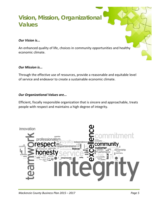# **Vision, Mission, Organizational Values**

### *Our Vision is...*

An enhanced quality of life, choices in community opportunities and healthy economic climate.

### *Our Mission is...*

Through the effective use of resources, provide a reasonable and equitable level of service and endeavor to create a sustainable economic climate.

### *Our Organizational Values are...*

Efficient, fiscally responsible organization that is sincere and approachable, treats people with respect and maintains a high degree of integrity.

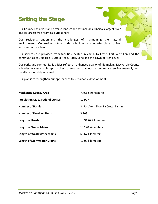# **Setting the Stage**

Our County has a vast and diverse landscape that includes Alberta's largest river and its largest free roaming buffalo herd.

Our residents understand the challenges of maintaining the natural environment. Our residents take pride in building a wonderful place to live, work and raise a family.

Our services are provided from facilities located in Zama, La Crete, Fort Vermilion and the communities of Blue Hills, Buffalo Head, Rocky Lane and the Town of High Level.

Our parks and community facilities reflect an enhanced quality of life making Mackenzie County a leader in sustainable approaches to ensuring that our resources are environmentally and fiscally responsibly accessed.

Our plan is to strengthen our approaches to sustainable development.

| <b>Mackenzie County Area</b>            | 7,761,580 hectares                 |
|-----------------------------------------|------------------------------------|
| <b>Population (2011 Federal Census)</b> | 10,927                             |
| <b>Number of Hamlets</b>                | 3 (Fort Vermilion, La Crete, Zama) |
| <b>Number of Dwelling Units</b>         | 3,203                              |
| Length of Roads                         | 1,891.62 kilometers                |
| <b>Length of Water Mains</b>            | 152.70 kilometers                  |
| <b>Length of Wastewater Mains</b>       | 66.67 kilometers                   |
| <b>Length of Stormwater Drains</b>      | 10.09 kilometers                   |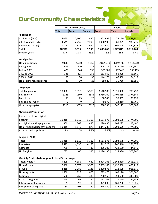# **Our Community Characteristics**

|                                                  | Mackenzie County |       |        | Alberta   |           |           |
|--------------------------------------------------|------------------|-------|--------|-----------|-----------|-----------|
|                                                  | <b>Total</b>     | Male  | Female | Total     | Male      | Female    |
| Population                                       |                  |       |        |           |           |           |
| 0-19 years (46%)                                 | 5,025            | 2,600 | 2,430  | 922,995   | 473,150   | 449,850   |
| 20-54 years (41.6%)                              | 4,545            | 2,255 | 2,295  | 1,900,590 | 960,825   | 939,775   |
| 55 + years (12.4%)                               | 1,345            | 685   | 680    | 821,670   | 393,845   | 427,815   |
| <b>Total</b>                                     | 10,930           | 5,535 | 5,535  | 3,645,260 | 1,827,815 | 1,817,440 |
| Median years                                     | 22.6             | 21.9  | 23.3   | 36.5      | 35.9      | 37.1      |
| Immigration                                      |                  |       |        |           |           |           |
| Non-immigrants                                   | 9,830            | 4,980 | 4,850  | 2,864,240 | 1,449,740 | 1,414,500 |
| immigrants                                       | 935              | 510   | 425    | 644,115   | 313,170   | 330,940   |
| Before 2001                                      | 425              | 240   | 190    | 386,885   | 187,415   | 199,465   |
| 2001 to 2006                                     | 345              | 195   | 155    | 113,060   | 56,395    | 56,660    |
| 2006 to 2011                                     | 165              | 70    | 95     | 144,170   | 69,360    | 74,815    |
| Non-Permanent residents                          | 45               | 20    | 25     | 59,620    | 30,756    | 28,855    |
| Language                                         |                  |       |        |           |           |           |
| Total population                                 | 10,900           | 5,520 | 5,380  | 3,610,185 | 1,811,450 | 1,798,730 |
| English only                                     | 3225             | 1640  | 1585   | 2,780,200 | 1,405,655 | 1,374,545 |
| French only                                      | 50               | 25    | 25     | 68,545    | 35,355    | 33,195    |
| English and French                               | 0                | 0     | 0      | 49,970    | 24,210    | 25,760    |
| Other Language(s)                                | 7315             | 3695  | 3620   | 698,930   | 340,125   | 358,805   |
| <b>Aboriginal Population</b>                     |                  |       |        |           |           |           |
| households by Aboriginal                         |                  |       |        |           |           |           |
| ancestry                                         | 10,815           | 5,510 | 5,305  | 3,567,975 | 1,793,675 | 1,774,300 |
| Aboriginal identity population                   | 800              | 365   | 430    | 220,695   | 108,295   | 112,400   |
| Non - Aboriginal identity populati               | 10,015           | 5,140 | 4,875  | 3,347,280 | 1,793,675 | 1,774,300 |
| As % of total population                         | 8%               | 7%    | 8.8%   | 6.5%      | 6%        | 6.3%      |
| Religion (2001)                                  |                  |       |        |           |           |           |
| Total                                            | 10,815           | 5,510 | 5,310  | 3,567,975 | 1,793,675 | 1,774,300 |
| Protestant                                       | 8,515            | 4,330 | 4,185  | 541,520   | 260,440   | 281,075   |
| Catholics                                        | 770              | 340   | 430    | 866,305   | 422,160   | 44,145    |
| No Religion                                      | 785              | 460   | 320    | 1,126,130 | 618,330   | 507,800   |
| Mobility Status (where people lived 5 years ago) |                  |       |        |           |           |           |
| Total 5 years +                                  | 9,295            | 4,655 | 4,640  | 3,324,205 | 1,668,830 | 1,655,375 |
| Non-Movers                                       | 7,080            | 3,575 | 3,505  | 2,985,105 | 1,496,890 | 1,488,215 |
| Movers                                           | 2,215            | 1,085 | 1,135  | 1,830,575 | 912,005   | 918,575   |
| Non-migrants                                     | 1,630            | 825   | 805    | 793,470   | 402,170   | 391,300   |
| Migrants                                         | 590              | 260   | 330    | 700,160   | 354,660   | 345,500   |
| <b>External Migrants</b>                         | 225              | 65    | 160    | 162,705   | 81,070    | 81,635    |
| Intraprovincial migrants                         | 185              | 90    | 95     | 321,605   | 161,280   | 160,325   |
| Interpovincial migrants                          | 180              | 105   | 70     | 215,850   | 112,310   | 103,540   |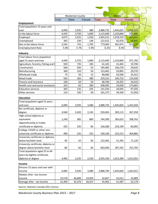|                                      |              | Mackenzie County |        |              | Alberta   |           |
|--------------------------------------|--------------|------------------|--------|--------------|-----------|-----------|
|                                      | <b>Total</b> | Male             | Female | <b>Total</b> | Male      | Female    |
| <b>Employment</b>                    |              |                  |        |              |           |           |
| Total population 15 years and        |              |                  |        |              |           |           |
| over                                 | 6,990        | 3,505            | 480    | 2,888,735    | 1,445,815 | 1,442,920 |
| In the labour force                  | 4,435        | 2,750            | 1,690  | 2,115,640    | 1,143,840 | 971,800   |
| Employed                             | 4,075        | 2,525            | 1,550  | 1,993,225    | 1,078,370 | 914,855   |
| Unemployed                           | 365          | 230              | 140    | 122,415      | 65,470    | 56,945    |
| Not in the labour force              | 2,545        | 755              | 1,795  | 773,095      | 301,975   | 471,120   |
| <b>Unemployment Rate</b>             | 5.8%         | 5.7%             | 5.9%   | 8.2%         | 8.4%      | 8.3%      |
| <b>Industry</b>                      |              |                  |        |              |           |           |
| Total labour force population        |              |                  |        |              |           |           |
| aged 15 years and over               | 4,440        | 2,755            | 1,690  | 2,115,640    | 1,143,840 | 971,795   |
| Agriculture, forestry, fishing and h | 920          | 735              | 185    | 61,165       | 41,465    | 19,700    |
| Construction                         | 560          | 505              | 55     | 195,905      | 166,270   | 29,635    |
| Manufacturing                        | 360          | 310              | 50     | 123,465      | 93,895    | 29,570    |
| Wholesale trade                      | 75           | 50               | 15     | 89,000       | 63,590    | 25,415    |
| Retail trade                         | 565          | 185              | 380    | 229,225      | 104,725   | 124,500   |
| Finance and insurance                | 100          | 50               | 50     | 68,760       | 24,355    | 44,410    |
| Health care and social assistance    | 325          | 65               | 260    | 206,695      | 33,030    | 173,665   |
| <b>Education services</b>            | 365          | 135              | 235    | 141,550      | 44,045    | 97,505    |
| Other services                       | 155          | 105              | 50     | 101,275      | 49,330    | 51,950    |
|                                      |              |                  |        |              |           |           |
| <b>Education</b>                     |              |                  |        |              |           |           |
| Total population aged 15 years       |              |                  |        |              |           |           |
| and over                             | 6,990        | 3,505            | 3,480  | 2,888,735    | 1,445,820 | 1,442,920 |
| No certificate, diploma or           |              |                  |        |              |           |           |
| degree                               | 4,560        | 2,420            | 2,145  | 550,465      | 283,115   | 267,350   |
| High school diploma or               |              |                  |        |              |           |           |
| equivalent                           | 1,240        | 385              | 860    | 764,390      | 365,625   | 398,765   |
| Apprenticeship or trades             |              |                  |        |              |           |           |
| certificate or diploma               | 425          | 335              | 85     | 318,280      | 233,190   | 85,095    |
| College, CEGEP or other non-         |              |                  |        |              |           |           |
| university certificate or diploma    | 490          | 235              | 255    | 530,100      | 225,215   | 304,885   |
| University certificate or diploma    |              |                  |        |              |           |           |
| below bachelor level                 | 40           | 10               | 30     | 122,465      | 51,345    | 71,120    |
| University certificate, diploma or   |              |                  |        |              |           |           |
| degree above bachelor level          | 80           | 50               | 30     | 603,040      | 287,335   | 315,705   |
| Total population aged 25 to 64       |              |                  |        |              |           |           |
| years by highest certificate,        |              |                  |        |              |           |           |
| diploma or degree                    | 4,485        | 2,235            | 2,250  | 2,035,330    | 1,023,280 | 1,012,055 |
| Income                               |              |                  |        |              |           |           |
| Persons 15 years and over with       |              |                  |        |              |           |           |
| income                               | 6,985        | 3,505            | 3,480  | 2,888,740    | 1,445,820 | 1,442,915 |
| Median after -tax income             |              |                  |        |              |           |           |
| income                               | 25,578       | 36,689           | 14,959 | 32,847       | 41,012    | 25,889    |
| Average after - tax income           | 31,403       | 42,376           | 20,257 | 41,962       | 51,587    | 32,179    |

Source: Statistics Canada 2011 Census

LAY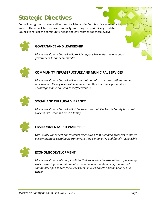# **Strategic Directives**

Council recognized strategic directives for Mackenzie County's five core activity areas. These will be reviewed annually and may be periodically updated by Council to reflect the community needs and environment as these evolve.



### **GOVERNANCE AND LEADERSHIP**

*Mackenzie County Council will provide responsible leadership and good government for our communities.*



### **COMMUNITY INFRASTRUCTURE AND MUNICIPAL SERVICES**

*Mackenzie County Council will ensure that our infrastructure continues to be renewed in a fiscally responsible manner and that our municipal services encourage innovation and cost effectiveness.*



### **SOCIAL AND CULTURAL VIBRANCY**

*Mackenzie County Council will strive to ensure that Mackenzie County is a great place to live, work and raise a family.*



### **ENVIRONMENTAL STEWARDSHIP**

*Our County will reflect our residents by ensuring that planning proceeds within an environmentally sustainable framework that is innovative and fiscally responsible.*



### **ECONOMIC DEVELOPMENT**

*Mackenzie County will adopt policies that encourage investment and opportunity while balancing the requirement to preserve and maintain playgrounds and community open spaces for our residents in our hamlets and the County as a whole.*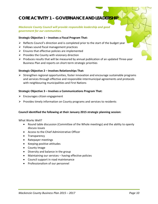### **CORE ACTIVITY 1 – GOVERNANCE AND LEADERSHIP**

### *Mackenzie County Council will provide responsible leadership and good government for our communities.*

### **Strategic Objective 1 – Involves a Fiscal Program That:**

- $\triangleright$  Reflects Council's direction and is completed prior to the start of the budget year
- $\triangleright$  Follows sound fiscal management practices
- $\triangleright$  Ensures that effective policies are implemented
- $\triangleright$  Provides the County with visionary direction
- $\triangleright$  Produces results that will be measured by annual publication of an updated Three-year Business Plan and reports on short‐term strategic priorities

#### **Strategic Objective 2 – Involves Relationships That:**

 $\triangleright$  Strengthen regional opportunities, foster innovation and encourage sustainable programs and services through effective and responsible intermunicipal agreements and protocols with neighbouring municipalities and First Nations

#### **Strategic Objective 3 – Involves a Communications Program That:**

- $\triangleright$  Encourages citizen engagement
- $\triangleright$  Provides timely information on County programs and services to residents

#### **Council identified the following at their January 2015 strategic planning session:**

What Works Well?

- Round table discussion (Committee of the Whole meetings) and the ability to openly discuss issues
- Access to the Chief Administrative Officer
- Transparency
- Ratepayer meetings
- Keeping positive attitudes
- County Image
- Diversity and balance in the group
- Maintaining our services having effective policies
- Council support in road maintenance
- Professionalism of our personnel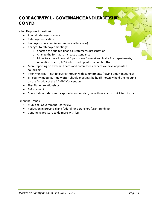### **CORE ACTIVITY 1 – GOVERNANCE AND LEADERSHIP CONT'D**

What Requires Attention?

- Annual ratepayer surveys
- Ratepayer education
- Employee education (about municipal business)
- Changes to ratepayer meetings:
	- o Shorten the audited financial statements presentation
	- o Change the format to increase attendance
	- o Move to a more informal "open house" format and invite fire departments, recreation boards, FCSS, etc. to set up information booths.
- More reporting on external boards and committees (where we have appointed councillors)
- Inter-municipal not following through with commitments (having timely meetings)
- Tri-county meetings How often should meetings be held? Possibly hold the meeting on the first day of the AAMDC Convention.
- **•** First Nation relationships
- Enforcement
- Council should show more appreciation for staff, councillors are too quick to criticize

Emerging Trends

- Municipal Government Act review
- Reduction in provincial and federal fund transfers (grant funding)
- Continuing pressure to do more with less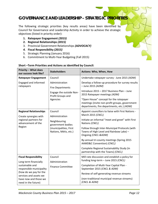### **GOVERNANCE AND LEADERSHIP – STRATEGIC PRIORITIES**

The following strategic priorities (key results areas) have been identified by Council for Governance and Leadership Activity in order to achieve the strategic objectives (listed in priority order):

- **1. Ratepayer Engagement** *(2015)*
- **2. Regional Relationships** *(2015)*
- 3. Provincial Government Relationships *(ADVOCACY)*
- *4.* **Fiscal Responsibility** *(2015)*
- 5. Strategic Planning (January 2016)
- 6. Commitment to Multi‐Year Budgeting (Fall 2015)

| <b>Priority - What does</b><br>our success look like?                                                                                                                                                    | <b>Stakeholders</b>                                                                                               | Actions: Who, When, How                                                                                                                                                                                                                                                                                                                                                                                                          |
|----------------------------------------------------------------------------------------------------------------------------------------------------------------------------------------------------------|-------------------------------------------------------------------------------------------------------------------|----------------------------------------------------------------------------------------------------------------------------------------------------------------------------------------------------------------------------------------------------------------------------------------------------------------------------------------------------------------------------------------------------------------------------------|
| <b>Ratepayer Engagement</b>                                                                                                                                                                              | Council                                                                                                           | Undertake ratepayer survey - June 2015 (ADM)                                                                                                                                                                                                                                                                                                                                                                                     |
| Engaged and informed<br>ratepayers                                                                                                                                                                       | Administration<br><b>Fire Departments</b><br>Engage the outside Non-<br>Profit Groups and<br>Agencies             | Develop a follow-up procedure for survey results<br>- June 2015 (ADM)<br>Introduce 2015 - 2017 Business Plan - June<br>2015 Ratepayer meetings (ADM)<br>"Open House" concept for the ratepayer<br>meetings (invite non-profit groups, government<br>departments, fire departments, etc.) (ADM)                                                                                                                                   |
| <b>Regional Relationships</b><br>Create synergies with<br>regional partners for<br>advancement of the<br>Region                                                                                          | Council<br>Administration<br>Neighbouring<br>government bodies<br>(municipalities, First<br>Nations, Métis, etc.) | Appoint councillors to liaise with First Nations -<br>March 2015 (CNCL)<br>Initiate an informal "meet and greet" with First<br>Nations (CNCL)<br>Follow through Inter-Municipal Protocols (with<br>Towns of High Level and Rainbow Lake) -<br>Ongoing (CNCL &ADM)<br>By-annual tri-county meetings (Spring 2015<br>AAMD&C Convention) (CNCL)<br>Complete Regional Sustainability Study (in<br>partnership with the Towns) (CNCL) |
| <b>Fiscal Responsibility</b><br>Long term financially<br>sustainable and<br>responsible municipality<br>(how do we pay for the<br>services and assets we<br>have now and those we<br>need in the future) | Council<br>Administration<br><b>Finance Committee</b>                                                             | Mill rate discussion and establish a policy for<br>funding long-term - June 2015 (CNCL)<br>Completion of Multi-Year Capital Plan -<br>September 2015 (CNCL & ADM)<br>Review of self-generating revenue streams<br>(non-traditional municipal revenue streams)<br>(CNCL & ADM)                                                                                                                                                    |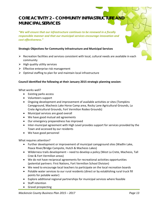### **CORE ACTIVITY 2 – COMMUNITY INFRASTRUCTURE AND MUNICIPAL SERVICES**

*"We will ensure that our infrastructure continues to be renewed in a fiscally responsible manner and that our municipal services encourage innovation and cost effectiveness."*

### **Strategic Objectives for Community Infrastructure and Municipal Services**

- $\triangleright$  Recreation facilities and services consistent with local, cultural needs are available in each community
- $\triangleright$  High quality utility services
- $\triangleright$  Effective enterprise risk management
- $\triangleright$  Optimal staffing to plan for and maintain local infrastructure

### **Council identified the following at their January 2015 strategic planning session:**

What works well?

- Existing parks access
- Volunteers support
- Ongoing development and improvement of available activities or sites (Tompkins Campground, Machesis Lake Horse Camp area, Rocky Lane Agricultural Grounds, La Crete Agricultural Grounds, Fort Vermilion Rodeo Grounds)
- Municipal services are good overall
- We have good mutual aid agreements
- Our emergency preparedness has improved
- Inter-municipal agreement with High Level provides support for services provided by the Town and accessed by our residents
- We have good personnel

What requires attention?

- Further development or improvement of municipal campground sites (Wadlin Lake, Peace River/Bridge Campsite, Hutch & Machesis Lakes)
- Wilderness trails development need to develop a policy (West La Crete, Machesis, Tall Cree & Fort Vermilion areas)
- We do not have reciprocal agreements for recreational activities opportunities (potential partners: First Nations, Fort Vermilion School Division)
- We need to encourage local teachers to participate on the local recreation boards
- Potable water services to our rural residents (direct or by establishing rural truck fill points for potable water)
- Explore additional regional partnerships for municipal services where feasible
- Staff retention
- Gravel prospecting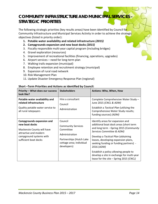### **COMMUNITY INFRASTRUCTURE AND MUNICIPAL SERVICES – STRATEGIC PRIORITIES**

The following strategic priorities (key results areas) have been identified by Council for Community Infrastructure and Municipal Services Activity in order to achieve the strategic objectives (listed in priority order):

- **1. Potable water availability and related infrastructure** *(2015)*
- **2. Campgrounds expansion and new boat docks** *(2015)*
- 3. Fiscally responsible multi‐year capital program (including bridges)
- 4. Gravel exploration (resources)
- 5. Improvement of recreational facilities (financing, operations, upgrades)
- 6. Airport services need for long‐term plan
- 7. Walking trails expansion (municipal)
- 8. Employee retention and recruitment strategy (municipal)
- 9. Expansion of rural road network
- 10. Risk Management Plan
- 11. Update Disaster Emergency Response Plan (regional)

| Priority - What does our success<br>look like?                                                                                                                | <b>Stakeholders</b>                                                                                                                        | <b>Actions: Who, When, How</b>                                                                                                                                                                                                                                                                                                                                                                                         |
|---------------------------------------------------------------------------------------------------------------------------------------------------------------|--------------------------------------------------------------------------------------------------------------------------------------------|------------------------------------------------------------------------------------------------------------------------------------------------------------------------------------------------------------------------------------------------------------------------------------------------------------------------------------------------------------------------------------------------------------------------|
| Potable water availability and<br>related infrastructure<br>Quality potable water service to<br>all rural ratepayers                                          | Hire a consultant<br>Council<br>Administration                                                                                             | Complete Comprehensive Water Study -<br>June 2015 (CNCL & ADM)<br>Establish a Tactical Plan (utilizing the<br>Comprehensive Water Study results;<br>funding sources) (ADM)                                                                                                                                                                                                                                             |
| <b>Campgrounds expansion and</b><br>new boat docks<br>Mackenzie County will have<br>attractive and modern<br>campground systems with<br>sufficient boat docks | Council<br><b>Community Services</b><br>Committee<br>Administration<br>Partnerships (Hutch Lake<br>cottage area; individual<br>developers) | Identify areas for expansion and<br>additional boat dock areas (short term<br>and long term -Spring 2015 (Community<br>Services Committee & ADM)<br>Develop a Tactical Plan (obtaining<br>leases, developing expansion plans,<br>seeking funding or funding partners) -<br>2016 (ADM)<br>Establish a policy allowing people to<br>develop a site in exchange for multi-year<br>lease for the site - Spring 2015 (CNCL) |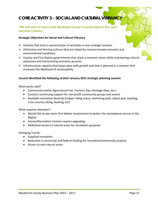### **CORE ACTIVITY 3 – SOCIAL AND CULTURAL VIBRANCY**

### *"We will strive to ensure that Mackenzie County is a great place to live, work and raise a family."*

### **Strategic Objectives for Social and Cultural Vibrancy**

- $\triangleright$  Hamlets that host a concentration of activities in one strategic location
- $\triangleright$  Distinctive and thriving cultures that are linked by common broad economic and environmental conditions
- $\triangleright$  County and First Nation governments that share a common vision while maintaining cultural autonomy and harmonizing economic pursuits
- Infrastructure capacity that keeps pace with growth and that is planned in a manner that increases the likelihood of sustainability

### **Council identified the following at their January 2015 strategic planning session:**

What works well?

- Community events (Agricultural Fair, Farmers Day, Heritage Days, etc.)
- County's continuing support for non‐profit community groups and events
- Available recreation diversity (indoor riding arena, swimming pool, splash pad, bowling, cross country skiing, boating, etc)

What requires attention?

- Would like to see more First Nation involvement to better the recreational service in the Region
- Arenas/Recreation Centres require upgrading
- Additional access to natural areas for recreation purposes

Emerging Trends:

- Supplied recreation
- Reduction in provincial and federal funding for recreation/community projects
- Access to vast natural areas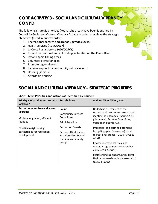### **CORE ACTIVITY 3 - SOCIAL AND CULTURAL VIBRANC CONT'D**

The following strategic priorities (key results areas) have been identified by Council for Social and Cultural Vibrancy Activity in order to achieve the strategic objectives (listed in priority order):

- 1. **Recreational centres and arenas upgrades (2015)**
- 2. Health services *(ADVOCACY)*
- 3. La Crete Postal Service *(ADVOCACY)*
- 4. Expand recreational and cultural opportunities on the Peace River
- 5. Expand sport fishing areas
- 6. Volunteer attraction plan
- 7. Promote regional events
- 8. Increase support for community cultural events
- 9. Housing (seniors)
- 10. Affordable housing

### **SOCIAL AND CULTURAL VIBRANCY – STRATEGIC PRIORITIES**

| Priority - What does our success<br>look like?                                                                                                                  | <b>Stakeholders</b>                                                                                                                                                                           | <b>Actions: Who, When, How</b>                                                                                                                                                                                                                                                                                                                                                                                                                                                   |
|-----------------------------------------------------------------------------------------------------------------------------------------------------------------|-----------------------------------------------------------------------------------------------------------------------------------------------------------------------------------------------|----------------------------------------------------------------------------------------------------------------------------------------------------------------------------------------------------------------------------------------------------------------------------------------------------------------------------------------------------------------------------------------------------------------------------------------------------------------------------------|
| Recreational centres and arena<br>upgrades<br>Modern, upgraded, efficient<br>facilities<br>Effective neighbouring<br>partnerships for recreation<br>development | Council<br><b>Community Services</b><br>Committee<br>Administration<br><b>Recreation Boards</b><br>Partners (First Nations,<br><b>Fort Vermilion School</b><br>Division, community<br>groups) | Undertake assessment of the<br>recreational centres and arenas and<br>identify the upgrades - Spring 2015<br>(Community Services Committee,<br><b>Recreation Boards ADM)</b><br>Introduce long-term replacement<br>budgeting (plan & reserves) for all<br>recreational arenas - 2016 (CNCL &<br>ADM)<br>Review recreational fiscal and<br>operating agreements – December<br>2016 (CNCL & ADM)<br>Explore funding opportunities (First<br>Nation partnerships, businesses, etc.) |
|                                                                                                                                                                 |                                                                                                                                                                                               | (CNCL & ADM)                                                                                                                                                                                                                                                                                                                                                                                                                                                                     |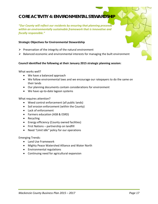### **CORE ACTIVITY 4: ENVIRONMENTAL STEWARDSHIP**

*"Our County will reflect our residents by ensuring that planning proceeds within an environmentally sustainable framework that is innovative and fiscally responsible."*

### **Strategic Objectives for Environmental Stewardship**

- $\triangleright$  Preservation of the integrity of the natural environment
- $\triangleright$  Balanced economic and environmental interests for managing the built environment

### **Council identified the following at their January 2015 strategic planning session:**

What works well?

- We have a balanced approach
- We follow environmental laws and we encourage our ratepayers to do the same on their lands
- Our planning documents contain considerations for environment
- We have up-to-date lagoon systems

What requires attention?

- Weed control enforcement (all public lands)
- Soil erosion enforcement (within the County)
- Lack of enforcement
- Farmers education (ASB & ESRD)
- Recycling
- Energy efficiency (County owned facilities)
- First Nations partnership on landfill
- Need *"Limit Idle"* policy for our operations

Emerging Trends:

- Land Use Framework
- Mighty Peace Watershed Alliance and Water North
- Environmental regulations
- Continuing need for agricultural expansion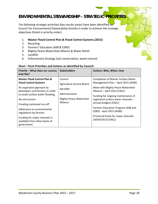### **ENVIRONMENTAL STEWARDSHIP – STRATEGIC PRIORITIES**

The following strategic priorities (key results areas) have been identified by Council for Environmental Stewardship Activity in order to achieve the strategic objectives (listed in priority order):

### 1. **Master Flood Control Plan & Flood Control Systems** *(2015)*

- 2. Recycling
- 3. Farmers' Education (ASB & ESRD)
- 4. Mighty Peace Watershed Alliance & Water North
- 5. Landfills
- 6. Enforcement Strategy (soil conservation, weed control)

| <b>Master Flood Control Plan &amp;</b><br>Council<br><b>Flood Control Systems</b><br>Agriculture Service Board<br>An organized approach by<br>AB ESRD<br>developers and farmers in order<br>Administration<br>to avoid surface water flooding;<br><b>Mighty Peace Watershed</b><br>No soil erosion<br>Alliance<br>Creating contained run-off<br>Adherence to environmental<br>regulations by farmers<br>Funding for major channels is<br>available from other levels of<br>government | <b>Completion of Master Surface Water</b><br>Management Plan - April 2015 (ADM)<br>Meet with Mighty Peace Watershed<br>Alliance - April 2015 (CNCL)<br>Funding for ongoing maintenance of<br>registered surface water channels -<br>annual budgets (CNCL)<br>Farmers Education Program (ASB and<br>ESRD) - April 2015 (ADM)<br>Provincial funds for major channels<br>(ADVOCACY) (CNCL) |
|---------------------------------------------------------------------------------------------------------------------------------------------------------------------------------------------------------------------------------------------------------------------------------------------------------------------------------------------------------------------------------------------------------------------------------------------------------------------------------------|-----------------------------------------------------------------------------------------------------------------------------------------------------------------------------------------------------------------------------------------------------------------------------------------------------------------------------------------------------------------------------------------|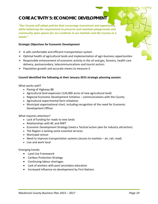### **CORE ACTIVITY 5: ECONOMIC DEVELOPMENT**

*"Our County will adopt policies that encourage investment and opportunity while balancing the requirement to preserve and maintain playgrounds and community open spaces for our residents in our hamlets and the County as a whole."*

### **Strategic Objectives for Economic Development**

- $\triangleright$  A safe comfortable and efficient transportation system
- $\triangleright$  Optimal health of agricultural lands and implementation of agri-business opportunities
- $\triangleright$  Responsible enhancement of economic activity in the oil and gas, forestry, health care delivery, postsecondary, telecommunications and tourist sectors
- $\triangleright$  Population growth and accurate means to measure it

### **Council identified the following at their January 2015 strategic planning session:**

What works well?

- Paving of Highway 88
- Agricultural land expansion (126,000 acres of new agricultural land)
- **•** Regional Economic Development Initiative communications with the County
- Agricultural experimental farm initiatives
- Municipal organizational chart, including recognition of the need for Economic Development Officer

What requires attention?

- Lack of funding for roads to new lands
- Relationships with BC and NWT
- Economic Development Strategy (need a *Tactical* action plan for industry attraction)
- The Region is lacking some essential services
- Municipal census
- Need to improve transportation systems (access to markets air, rail, road)
- Live and work local

Emerging trends:

- Land Use Framework
- Caribou Protection Strategy
- Continuing labour shortages
- Lack of workers with post-secondary education
- Increased influence on development by First Nations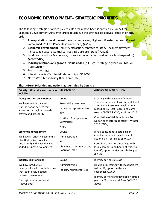### **ECONOMIC DEVELOPMENT – STRATEGIC PRIORITIES**

The following strategic priorities (key results areas) have been identified by Council for Economic Development Activity in order to achieve the strategic objectives (listed in priority order):

- 1. **Transportation development** (new market access, Highway 58 extension east & west, Zama Road, P5 East Peace Resources Road) *(2015)*
- 2. **Economic development** (industry attraction, targeted strategy, local employment, increase tax base, essential services, rail, airports, travel) *(2015)*
- 3. Land use (Land Use Framework, conservation initiatives, agricultural land expansion) *(ADVOCACY)*
- 4. **Industry relations and growth ‐ value added** (oil & gas strategy, agriculture, MARA, REDI) *(2015)*
- 5. Tourism strategy
- 6. Inter‐Provincial/Territorial relationships (BC, NWT)
- 7. North West bio‐industry (flax, hemp, etc.)

| Priority - What does our success<br>look like?                                                                                                                                                | <b>Stakeholders</b>                                                                                                                  | Actions: Who, When, How                                                                                                                                                                                                                                                               |
|-----------------------------------------------------------------------------------------------------------------------------------------------------------------------------------------------|--------------------------------------------------------------------------------------------------------------------------------------|---------------------------------------------------------------------------------------------------------------------------------------------------------------------------------------------------------------------------------------------------------------------------------------|
| <b>Transportation development</b><br>We have a sophisticated<br>transportation system that<br>advances our region towards<br>growth and prosperity                                            | Council<br>Provincial government<br>Industries representatives<br><b>REDI</b><br>Northern Transportation<br>Committee<br><b>NADC</b> | Meeting with Minsters of Alberta<br>Transportation and Environmental and<br>Sustainable Resource Development<br>regarding P5 (East Peace) and Zama<br>roads - (REEVE & CAO) - Winter 2015<br>Completion of Rainbow Lake - Fort<br>Nelsen connector road study - Winter<br>2015 (CNCL) |
| <b>Economic development</b><br>We have an effective economic<br>plan that delivers results<br>(measured) and leads to value<br>added business development.                                    | Council<br>Administration<br><b>REDI</b><br>Chamber of Commerce and<br><b>Board of Trade</b>                                         | Hire a consultant to establish an<br>effective economic development<br>action plan - Spring 2015 (ADM)<br>Coordinate and host meetings with<br>local chambers and board of trade to<br>identify opportunities and challenges<br>(CNCL)                                                |
| <b>Industry relationships</b><br>We have productive<br>relationships with our industries<br>that lead to value added<br>business development.<br>Our region has a sufficient<br>"labour pool" | Council<br>Administration<br>Industry representatives                                                                                | Identify partners (ADM)<br>Hold joint meetings with stakeholders<br>to identify opportunities and<br>challenges (CNCL)<br>Identify barriers and develop an action<br>plan for "live and work local" (CNCL &<br>ADM)                                                                   |